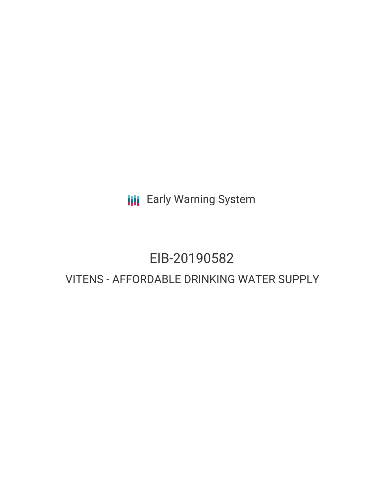**III** Early Warning System

# EIB-20190582

## VITENS - AFFORDABLE DRINKING WATER SUPPLY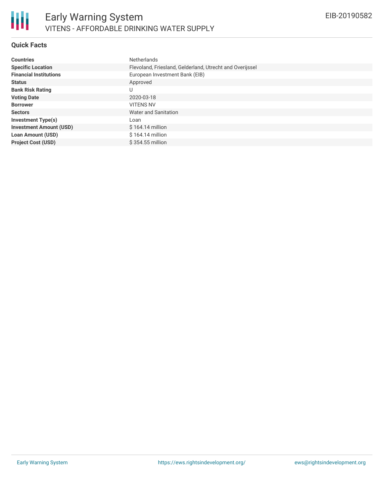#### **Quick Facts**

| <b>Countries</b>               | <b>Netherlands</b>                                       |  |  |  |  |
|--------------------------------|----------------------------------------------------------|--|--|--|--|
| <b>Specific Location</b>       | Flevoland, Friesland, Gelderland, Utrecht and Overijssel |  |  |  |  |
| <b>Financial Institutions</b>  | European Investment Bank (EIB)                           |  |  |  |  |
| <b>Status</b>                  | Approved                                                 |  |  |  |  |
| <b>Bank Risk Rating</b>        | U                                                        |  |  |  |  |
| <b>Voting Date</b>             | 2020-03-18                                               |  |  |  |  |
| <b>Borrower</b>                | <b>VITENS NV</b>                                         |  |  |  |  |
| <b>Sectors</b>                 | Water and Sanitation                                     |  |  |  |  |
| <b>Investment Type(s)</b>      | Loan                                                     |  |  |  |  |
| <b>Investment Amount (USD)</b> | $$164.14$ million                                        |  |  |  |  |
| Loan Amount (USD)              | $$164.14$ million                                        |  |  |  |  |
| <b>Project Cost (USD)</b>      | \$354.55 million                                         |  |  |  |  |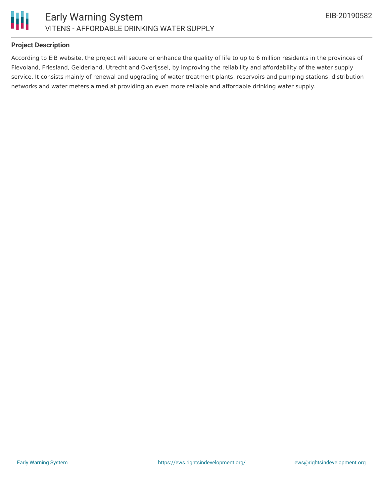



#### **Project Description**

According to EIB website, the project will secure or enhance the quality of life to up to 6 million residents in the provinces of Flevoland, Friesland, Gelderland, Utrecht and Overijssel, by improving the reliability and affordability of the water supply service. It consists mainly of renewal and upgrading of water treatment plants, reservoirs and pumping stations, distribution networks and water meters aimed at providing an even more reliable and affordable drinking water supply.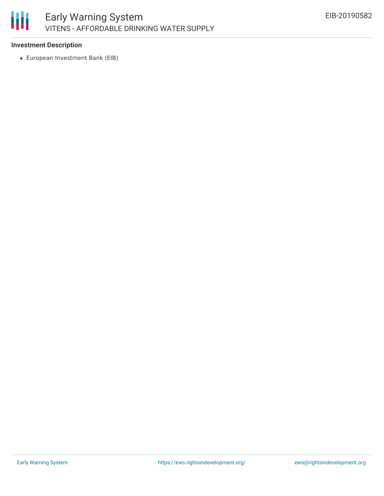

#### **Investment Description**

European Investment Bank (EIB)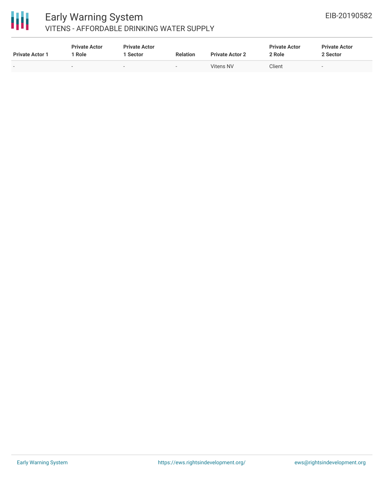

### Early Warning System VITENS - AFFORDABLE DRINKING WATER SUPPLY

| <b>Private Actor 1</b> | <b>Private Actor</b><br>Role | <b>Private Actor</b><br>1 Sector | <b>Relation</b>          | <b>Private Actor 2</b> | <b>Private Actor</b><br>2 Role | <b>Private Actor</b><br>2 Sector |  |
|------------------------|------------------------------|----------------------------------|--------------------------|------------------------|--------------------------------|----------------------------------|--|
|                        |                              |                                  | $\overline{\phantom{a}}$ | <b>Vitens NV</b>       | Client                         | $\overline{\phantom{0}}$         |  |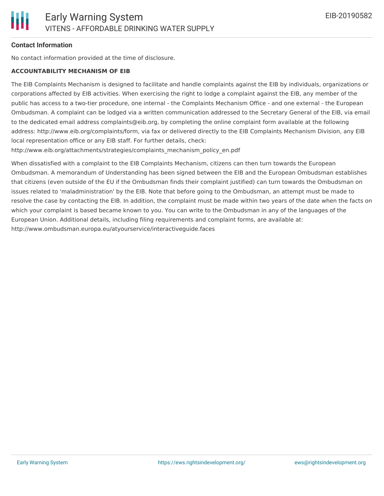#### **Contact Information**

No contact information provided at the time of disclosure.

#### **ACCOUNTABILITY MECHANISM OF EIB**

The EIB Complaints Mechanism is designed to facilitate and handle complaints against the EIB by individuals, organizations or corporations affected by EIB activities. When exercising the right to lodge a complaint against the EIB, any member of the public has access to a two-tier procedure, one internal - the Complaints Mechanism Office - and one external - the European Ombudsman. A complaint can be lodged via a written communication addressed to the Secretary General of the EIB, via email to the dedicated email address complaints@eib.org, by completing the online complaint form available at the following address: http://www.eib.org/complaints/form, via fax or delivered directly to the EIB Complaints Mechanism Division, any EIB local representation office or any EIB staff. For further details, check:

http://www.eib.org/attachments/strategies/complaints\_mechanism\_policy\_en.pdf

When dissatisfied with a complaint to the EIB Complaints Mechanism, citizens can then turn towards the European Ombudsman. A memorandum of Understanding has been signed between the EIB and the European Ombudsman establishes that citizens (even outside of the EU if the Ombudsman finds their complaint justified) can turn towards the Ombudsman on issues related to 'maladministration' by the EIB. Note that before going to the Ombudsman, an attempt must be made to resolve the case by contacting the EIB. In addition, the complaint must be made within two years of the date when the facts on which your complaint is based became known to you. You can write to the Ombudsman in any of the languages of the European Union. Additional details, including filing requirements and complaint forms, are available at: http://www.ombudsman.europa.eu/atyourservice/interactiveguide.faces